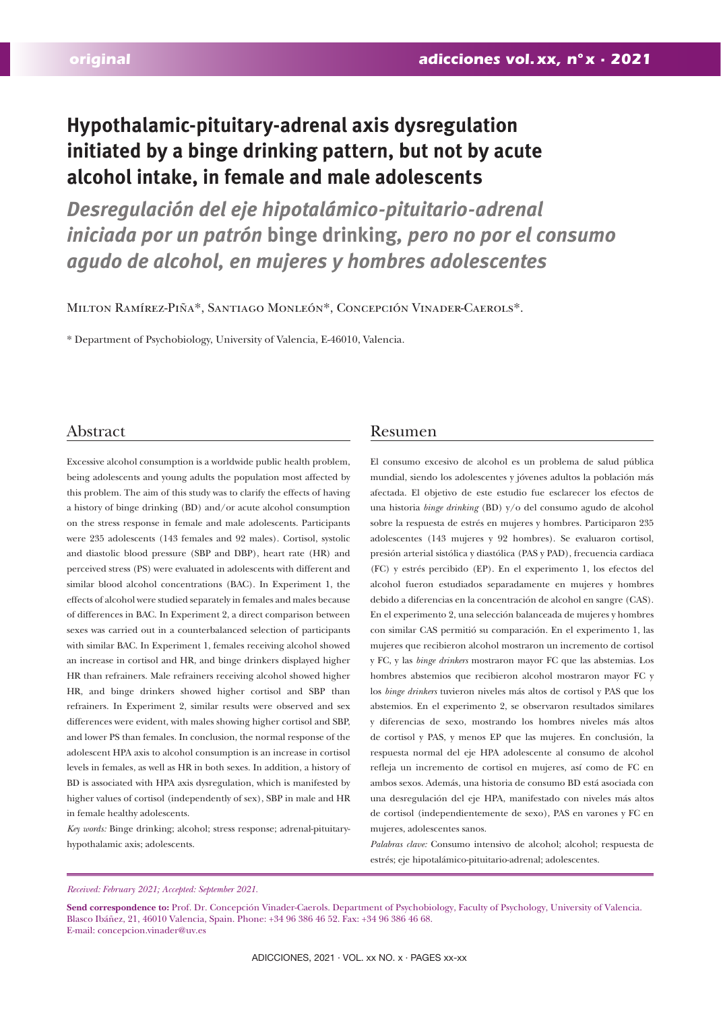# **Hypothalamic-pituitary-adrenal axis dysregulation initiated by a binge drinking pattern, but not by acute alcohol intake, in female and male adolescents**

*Desregulación del eje hipotalámico-pituitario-adrenal iniciada por un patrón* **binge drinking***, pero no por el consumo agudo de alcohol, en mujeres y hombres adolescentes*

Milton Ramírez-Piña\*, Santiago Monleón\*, Concepción Vinader-Caerols\*.

\* Department of Psychobiology, University of Valencia, E-46010, Valencia.

# Abstract

Excessive alcohol consumption is a worldwide public health problem, being adolescents and young adults the population most affected by this problem. The aim of this study was to clarify the effects of having a history of binge drinking (BD) and/or acute alcohol consumption on the stress response in female and male adolescents. Participants were 235 adolescents (143 females and 92 males). Cortisol, systolic and diastolic blood pressure (SBP and DBP), heart rate (HR) and perceived stress (PS) were evaluated in adolescents with different and similar blood alcohol concentrations (BAC). In Experiment 1, the effects of alcohol were studied separately in females and males because of differences in BAC. In Experiment 2, a direct comparison between sexes was carried out in a counterbalanced selection of participants with similar BAC. In Experiment 1, females receiving alcohol showed an increase in cortisol and HR, and binge drinkers displayed higher HR than refrainers. Male refrainers receiving alcohol showed higher HR, and binge drinkers showed higher cortisol and SBP than refrainers. In Experiment 2, similar results were observed and sex differences were evident, with males showing higher cortisol and SBP, and lower PS than females. In conclusion, the normal response of the adolescent HPA axis to alcohol consumption is an increase in cortisol levels in females, as well as HR in both sexes. In addition, a history of BD is associated with HPA axis dysregulation, which is manifested by higher values of cortisol (independently of sex), SBP in male and HR in female healthy adolescents.

*Key words:* Binge drinking; alcohol; stress response; adrenal-pituitaryhypothalamic axis; adolescents.

# Resumen

El consumo excesivo de alcohol es un problema de salud pública mundial, siendo los adolescentes y jóvenes adultos la población más afectada. El objetivo de este estudio fue esclarecer los efectos de una historia *binge drinking* (BD) y/o del consumo agudo de alcohol sobre la respuesta de estrés en mujeres y hombres. Participaron 235 adolescentes (143 mujeres y 92 hombres). Se evaluaron cortisol, presión arterial sistólica y diastólica (PAS y PAD), frecuencia cardiaca (FC) y estrés percibido (EP). En el experimento 1, los efectos del alcohol fueron estudiados separadamente en mujeres y hombres debido a diferencias en la concentración de alcohol en sangre (CAS). En el experimento 2, una selección balanceada de mujeres y hombres con similar CAS permitió su comparación. En el experimento 1, las mujeres que recibieron alcohol mostraron un incremento de cortisol y FC, y las *binge drinkers* mostraron mayor FC que las abstemias. Los hombres abstemios que recibieron alcohol mostraron mayor FC y los *binge drinkers* tuvieron niveles más altos de cortisol y PAS que los abstemios. En el experimento 2, se observaron resultados similares y diferencias de sexo, mostrando los hombres niveles más altos de cortisol y PAS, y menos EP que las mujeres. En conclusión, la respuesta normal del eje HPA adolescente al consumo de alcohol refleja un incremento de cortisol en mujeres, así como de FC en ambos sexos. Además, una historia de consumo BD está asociada con una desregulación del eje HPA, manifestado con niveles más altos de cortisol (independientemente de sexo), PAS en varones y FC en mujeres, adolescentes sanos.

*Palabras clave:* Consumo intensivo de alcohol; alcohol; respuesta de estrés; eje hipotalámico-pituitario-adrenal; adolescentes.

*Received: February 2021; Accepted: September 2021.*

Send correspondence to: Prof. Dr. Concepción Vinader-Caerols. Department of Psychobiology, Faculty of Psychology, University of Valencia. Blasco Ibáñez, 21, 46010 Valencia, Spain. Phone: +34 96 386 46 52. Fax: +34 96 386 46 68. E-mail: concepcion.vinader@uv.es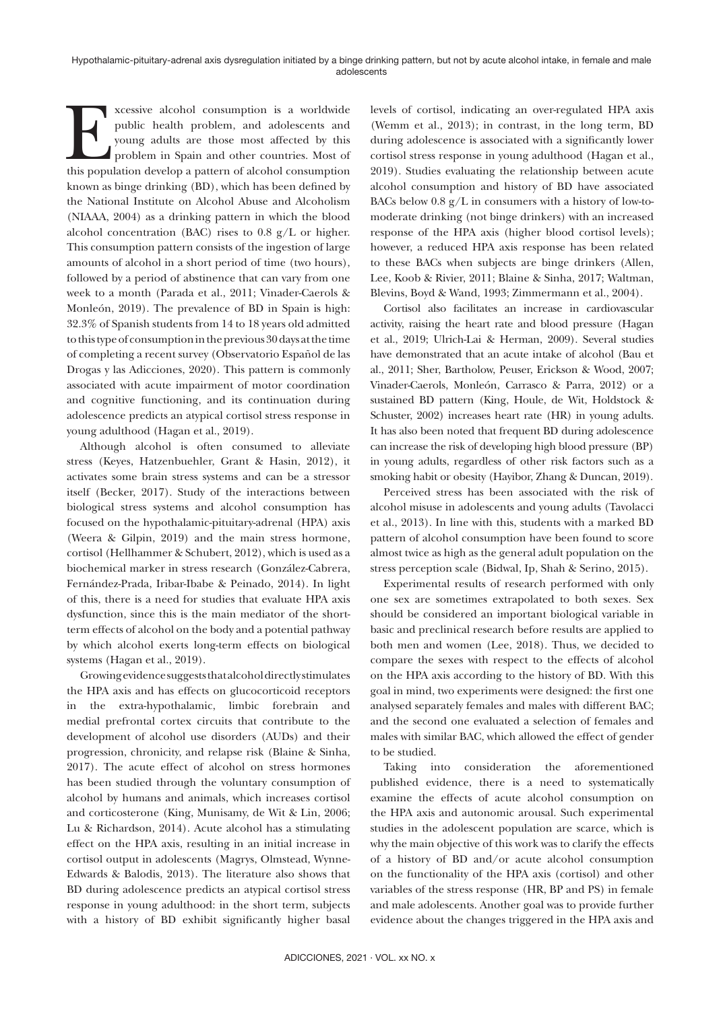xcessive alcohol consumption is a worldwide<br>public health problem, and adolescents and<br>young adults are those most affected by this<br>problem in Spain and other countries. Most of<br>this population develop a pattern of alcohol public health problem, and adolescents and young adults are those most affected by this problem in Spain and other countries. Most of this population develop a pattern of alcohol consumption known as binge drinking (BD), which has been defined by the National Institute on Alcohol Abuse and Alcoholism (NIAAA, 2004) as a drinking pattern in which the blood alcohol concentration (BAC) rises to 0.8 g/L or higher. This consumption pattern consists of the ingestion of large amounts of alcohol in a short period of time (two hours), followed by a period of abstinence that can vary from one week to a month (Parada et al., 2011; Vinader-Caerols & Monleón, 2019). The prevalence of BD in Spain is high: 32.3% of Spanish students from 14 to 18 years old admitted to this type of consumption in the previous 30 days at the time of completing a recent survey (Observatorio Español de las Drogas y las Adicciones, 2020). This pattern is commonly associated with acute impairment of motor coordination and cognitive functioning, and its continuation during adolescence predicts an atypical cortisol stress response in young adulthood (Hagan et al., 2019).

Although alcohol is often consumed to alleviate stress (Keyes, Hatzenbuehler, Grant & Hasin, 2012), it activates some brain stress systems and can be a stressor itself (Becker, 2017). Study of the interactions between biological stress systems and alcohol consumption has focused on the hypothalamic-pituitary-adrenal (HPA) axis (Weera & Gilpin, 2019) and the main stress hormone, cortisol (Hellhammer & Schubert, 2012), which is used as a biochemical marker in stress research (González-Cabrera, Fernández-Prada, Iribar-Ibabe & Peinado, 2014). In light of this, there is a need for studies that evaluate HPA axis dysfunction, since this is the main mediator of the shortterm effects of alcohol on the body and a potential pathway by which alcohol exerts long-term effects on biological systems (Hagan et al., 2019).

Growing evidence suggests that alcohol directly stimulates the HPA axis and has effects on glucocorticoid receptors in the extra-hypothalamic, limbic forebrain and medial prefrontal cortex circuits that contribute to the development of alcohol use disorders (AUDs) and their progression, chronicity, and relapse risk (Blaine & Sinha, 2017). The acute effect of alcohol on stress hormones has been studied through the voluntary consumption of alcohol by humans and animals, which increases cortisol and corticosterone (King, Munisamy, de Wit & Lin, 2006; Lu & Richardson, 2014). Acute alcohol has a stimulating effect on the HPA axis, resulting in an initial increase in cortisol output in adolescents (Magrys, Olmstead, Wynne-Edwards & Balodis, 2013). The literature also shows that BD during adolescence predicts an atypical cortisol stress response in young adulthood: in the short term, subjects with a history of BD exhibit significantly higher basal

levels of cortisol, indicating an over-regulated HPA axis (Wemm et al., 2013); in contrast, in the long term, BD during adolescence is associated with a significantly lower cortisol stress response in young adulthood (Hagan et al., 2019). Studies evaluating the relationship between acute alcohol consumption and history of BD have associated BACs below  $0.8 \text{ g/L}$  in consumers with a history of low-tomoderate drinking (not binge drinkers) with an increased response of the HPA axis (higher blood cortisol levels); however, a reduced HPA axis response has been related to these BACs when subjects are binge drinkers (Allen, Lee, Koob & Rivier, 2011; Blaine & Sinha, 2017; Waltman, Blevins, Boyd & Wand, 1993; Zimmermann et al., 2004).

Cortisol also facilitates an increase in cardiovascular activity, raising the heart rate and blood pressure (Hagan et al., 2019; Ulrich-Lai & Herman, 2009). Several studies have demonstrated that an acute intake of alcohol (Bau et al., 2011; Sher, Bartholow, Peuser, Erickson & Wood, 2007; Vinader-Caerols, Monleón, Carrasco & Parra, 2012) or a sustained BD pattern (King, Houle, de Wit, Holdstock & Schuster, 2002) increases heart rate (HR) in young adults. It has also been noted that frequent BD during adolescence can increase the risk of developing high blood pressure (BP) in young adults, regardless of other risk factors such as a smoking habit or obesity (Hayibor, Zhang & Duncan, 2019).

Perceived stress has been associated with the risk of alcohol misuse in adolescents and young adults (Tavolacci et al., 2013). In line with this, students with a marked BD pattern of alcohol consumption have been found to score almost twice as high as the general adult population on the stress perception scale (Bidwal, Ip, Shah & Serino, 2015).

Experimental results of research performed with only one sex are sometimes extrapolated to both sexes. Sex should be considered an important biological variable in basic and preclinical research before results are applied to both men and women (Lee, 2018). Thus, we decided to compare the sexes with respect to the effects of alcohol on the HPA axis according to the history of BD. With this goal in mind, two experiments were designed: the first one analysed separately females and males with different BAC; and the second one evaluated a selection of females and males with similar BAC, which allowed the effect of gender to be studied.

Taking into consideration the aforementioned published evidence, there is a need to systematically examine the effects of acute alcohol consumption on the HPA axis and autonomic arousal. Such experimental studies in the adolescent population are scarce, which is why the main objective of this work was to clarify the effects of a history of BD and/or acute alcohol consumption on the functionality of the HPA axis (cortisol) and other variables of the stress response (HR, BP and PS) in female and male adolescents. Another goal was to provide further evidence about the changes triggered in the HPA axis and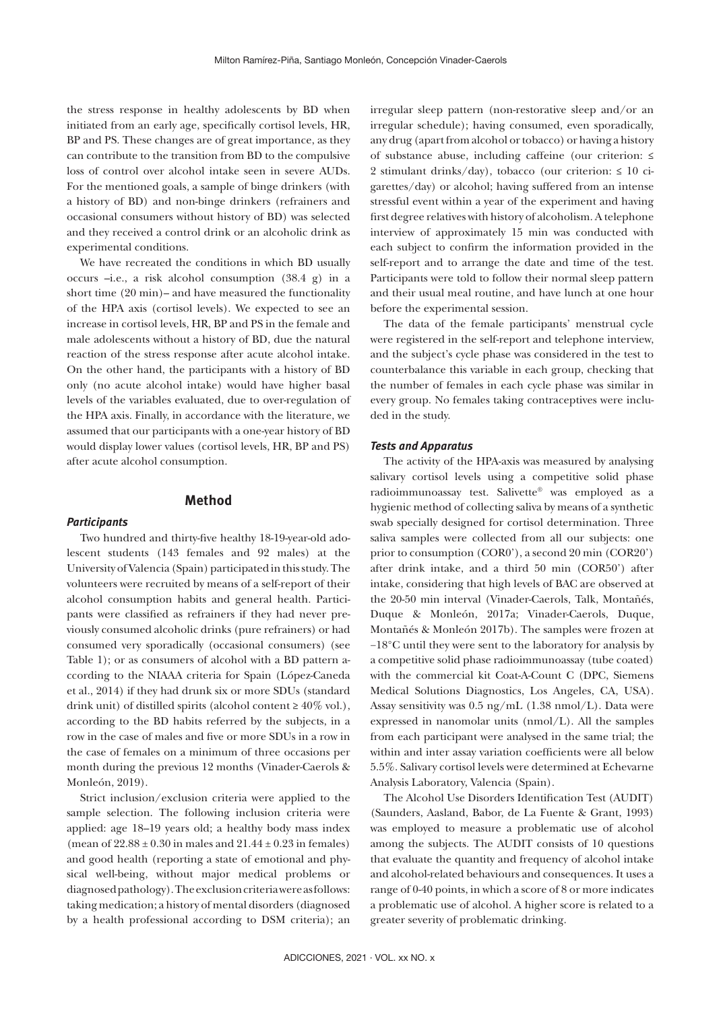the stress response in healthy adolescents by BD when initiated from an early age, specifically cortisol levels, HR, BP and PS. These changes are of great importance, as they can contribute to the transition from BD to the compulsive loss of control over alcohol intake seen in severe AUDs. For the mentioned goals, a sample of binge drinkers (with a history of BD) and non-binge drinkers (refrainers and occasional consumers without history of BD) was selected and they received a control drink or an alcoholic drink as experimental conditions.

We have recreated the conditions in which BD usually occurs –i.e., a risk alcohol consumption (38.4 g) in a short time (20 min)– and have measured the functionality of the HPA axis (cortisol levels). We expected to see an increase in cortisol levels, HR, BP and PS in the female and male adolescents without a history of BD, due the natural reaction of the stress response after acute alcohol intake. On the other hand, the participants with a history of BD only (no acute alcohol intake) would have higher basal levels of the variables evaluated, due to over-regulation of the HPA axis. Finally, in accordance with the literature, we assumed that our participants with a one-year history of BD would display lower values (cortisol levels, HR, BP and PS) after acute alcohol consumption.

# **Method**

#### *Participants*

Two hundred and thirty-five healthy 18-19-year-old adolescent students (143 females and 92 males) at the University of Valencia (Spain) participated in this study. The volunteers were recruited by means of a self-report of their alcohol consumption habits and general health. Participants were classified as refrainers if they had never previously consumed alcoholic drinks (pure refrainers) or had consumed very sporadically (occasional consumers) (see Table 1); or as consumers of alcohol with a BD pattern according to the NIAAA criteria for Spain (López-Caneda et al., 2014) if they had drunk six or more SDUs (standard drink unit) of distilled spirits (alcohol content  $\geq 40\%$  vol.), according to the BD habits referred by the subjects, in a row in the case of males and five or more SDUs in a row in the case of females on a minimum of three occasions per month during the previous 12 months (Vinader-Caerols & Monleón, 2019).

Strict inclusion/exclusion criteria were applied to the sample selection. The following inclusion criteria were applied: age 18–19 years old; a healthy body mass index (mean of  $22.88 \pm 0.30$  in males and  $21.44 \pm 0.23$  in females) and good health (reporting a state of emotional and physical well-being, without major medical problems or diagnosed pathology). The exclusion criteria were as follows: taking medication; a history of mental disorders (diagnosed by a health professional according to DSM criteria); an irregular sleep pattern (non-restorative sleep and/or an irregular schedule); having consumed, even sporadically, any drug (apart from alcohol or tobacco) or having a history of substance abuse, including caffeine (our criterion: ≤ 2 stimulant drinks/day), tobacco (our criterion:  $\leq 10$  cigarettes/day) or alcohol; having suffered from an intense stressful event within a year of the experiment and having first degree relatives with history of alcoholism. A telephone interview of approximately 15 min was conducted with each subject to confirm the information provided in the self-report and to arrange the date and time of the test. Participants were told to follow their normal sleep pattern and their usual meal routine, and have lunch at one hour before the experimental session.

The data of the female participants' menstrual cycle were registered in the self-report and telephone interview, and the subject's cycle phase was considered in the test to counterbalance this variable in each group, checking that the number of females in each cycle phase was similar in every group. No females taking contraceptives were included in the study.

#### *Tests and Apparatus*

The activity of the HPA-axis was measured by analysing salivary cortisol levels using a competitive solid phase radioimmunoassay test. Salivette® was employed as a hygienic method of collecting saliva by means of a synthetic swab specially designed for cortisol determination. Three saliva samples were collected from all our subjects: one prior to consumption (COR0'), a second 20 min (COR20') after drink intake, and a third 50 min (COR50') after intake, considering that high levels of BAC are observed at the 20-50 min interval (Vinader-Caerols, Talk, Montañés, Duque & Monleón, 2017a; Vinader-Caerols, Duque, Montañés & Monleón 2017b). The samples were frozen at −18°C until they were sent to the laboratory for analysis by a competitive solid phase radioimmunoassay (tube coated) with the commercial kit Coat-A-Count C (DPC, Siemens Medical Solutions Diagnostics, Los Angeles, CA, USA). Assay sensitivity was 0.5 ng/mL (1.38 nmol/L). Data were expressed in nanomolar units (nmol/L). All the samples from each participant were analysed in the same trial; the within and inter assay variation coefficients were all below 5.5%. Salivary cortisol levels were determined at Echevarne Analysis Laboratory, Valencia (Spain).

The Alcohol Use Disorders Identification Test (AUDIT) (Saunders, Aasland, Babor, de La Fuente & Grant, 1993) was employed to measure a problematic use of alcohol among the subjects. The AUDIT consists of 10 questions that evaluate the quantity and frequency of alcohol intake and alcohol-related behaviours and consequences. It uses a range of 0-40 points, in which a score of 8 or more indicates a problematic use of alcohol. A higher score is related to a greater severity of problematic drinking.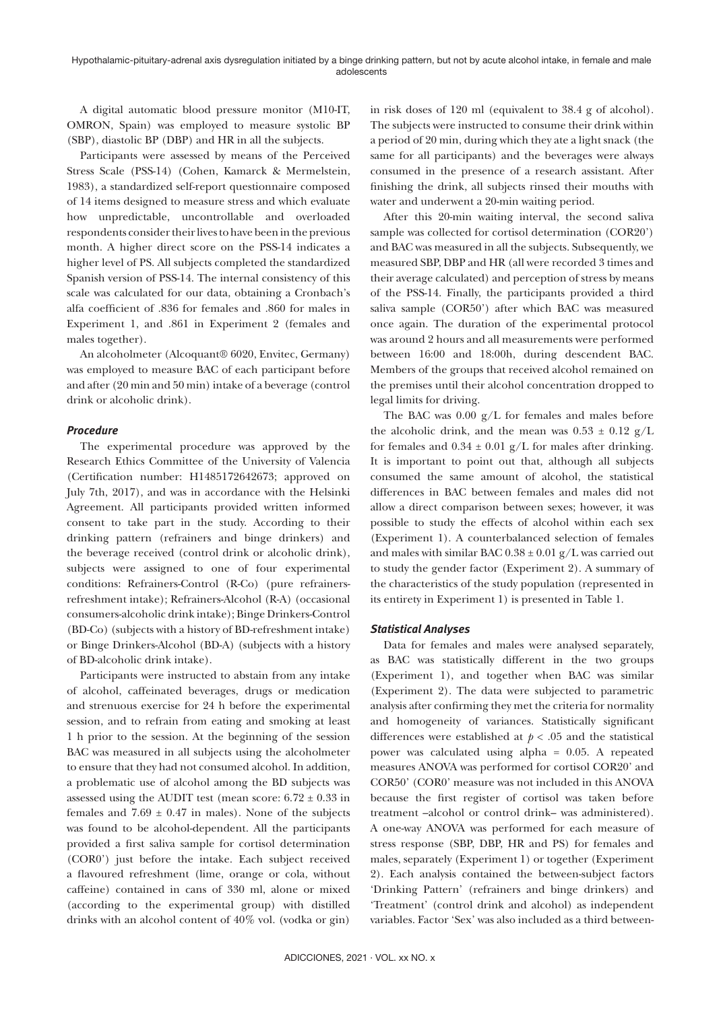A digital automatic blood pressure monitor (M10-IT, OMRON, Spain) was employed to measure systolic BP (SBP), diastolic BP (DBP) and HR in all the subjects.

Participants were assessed by means of the Perceived Stress Scale (PSS-14) (Cohen, Kamarck & Mermelstein, 1983), a standardized self-report questionnaire composed of 14 items designed to measure stress and which evaluate how unpredictable, uncontrollable and overloaded respondents consider their lives to have been in the previous month. A higher direct score on the PSS-14 indicates a higher level of PS. All subjects completed the standardized Spanish version of PSS-14. The internal consistency of this scale was calculated for our data, obtaining a Cronbach's alfa coefficient of .836 for females and .860 for males in Experiment 1, and .861 in Experiment 2 (females and males together).

An alcoholmeter (Alcoquant® 6020, Envitec, Germany) was employed to measure BAC of each participant before and after (20 min and 50 min) intake of a beverage (control drink or alcoholic drink).

# *Procedure*

The experimental procedure was approved by the Research Ethics Committee of the University of Valencia (Certification number: H1485172642673; approved on July 7th, 2017), and was in accordance with the Helsinki Agreement. All participants provided written informed consent to take part in the study. According to their drinking pattern (refrainers and binge drinkers) and the beverage received (control drink or alcoholic drink), subjects were assigned to one of four experimental conditions: Refrainers-Control (R-Co) (pure refrainersrefreshment intake); Refrainers-Alcohol (R-A) (occasional consumers-alcoholic drink intake); Binge Drinkers-Control (BD-Co) (subjects with a history of BD-refreshment intake) or Binge Drinkers-Alcohol (BD-A) (subjects with a history of BD-alcoholic drink intake).

Participants were instructed to abstain from any intake of alcohol, caffeinated beverages, drugs or medication and strenuous exercise for 24 h before the experimental session, and to refrain from eating and smoking at least 1 h prior to the session. At the beginning of the session BAC was measured in all subjects using the alcoholmeter to ensure that they had not consumed alcohol. In addition, a problematic use of alcohol among the BD subjects was assessed using the AUDIT test (mean score:  $6.72 \pm 0.33$  in females and  $7.69 \pm 0.47$  in males). None of the subjects was found to be alcohol-dependent. All the participants provided a first saliva sample for cortisol determination (COR0') just before the intake. Each subject received a flavoured refreshment (lime, orange or cola, without caffeine) contained in cans of 330 ml, alone or mixed (according to the experimental group) with distilled drinks with an alcohol content of 40% vol. (vodka or gin) in risk doses of 120 ml (equivalent to 38.4 g of alcohol). The subjects were instructed to consume their drink within a period of 20 min, during which they ate a light snack (the same for all participants) and the beverages were always consumed in the presence of a research assistant. After finishing the drink, all subjects rinsed their mouths with water and underwent a 20-min waiting period.

After this 20-min waiting interval, the second saliva sample was collected for cortisol determination (COR20') and BAC was measured in all the subjects. Subsequently, we measured SBP, DBP and HR (all were recorded 3 times and their average calculated) and perception of stress by means of the PSS-14. Finally, the participants provided a third saliva sample (COR50') after which BAC was measured once again. The duration of the experimental protocol was around 2 hours and all measurements were performed between 16:00 and 18:00h, during descendent BAC. Members of the groups that received alcohol remained on the premises until their alcohol concentration dropped to legal limits for driving.

The BAC was 0.00 g/L for females and males before the alcoholic drink, and the mean was  $0.53 \pm 0.12$  g/L for females and  $0.34 \pm 0.01$  g/L for males after drinking. It is important to point out that, although all subjects consumed the same amount of alcohol, the statistical differences in BAC between females and males did not allow a direct comparison between sexes; however, it was possible to study the effects of alcohol within each sex (Experiment 1). A counterbalanced selection of females and males with similar BAC  $0.38 \pm 0.01$  g/L was carried out to study the gender factor (Experiment 2). A summary of the characteristics of the study population (represented in its entirety in Experiment 1) is presented in Table 1.

#### *Statistical Analyses*

Data for females and males were analysed separately, as BAC was statistically different in the two groups (Experiment 1), and together when BAC was similar (Experiment 2). The data were subjected to parametric analysis after confirming they met the criteria for normality and homogeneity of variances. Statistically significant differences were established at  $p < .05$  and the statistical power was calculated using alpha = 0.05. A repeated measures ANOVA was performed for cortisol COR20' and COR50' (COR0' measure was not included in this ANOVA because the first register of cortisol was taken before treatment –alcohol or control drink– was administered). A one-way ANOVA was performed for each measure of stress response (SBP, DBP, HR and PS) for females and males, separately (Experiment 1) or together (Experiment 2). Each analysis contained the between-subject factors 'Drinking Pattern' (refrainers and binge drinkers) and 'Treatment' (control drink and alcohol) as independent variables. Factor 'Sex' was also included as a third between-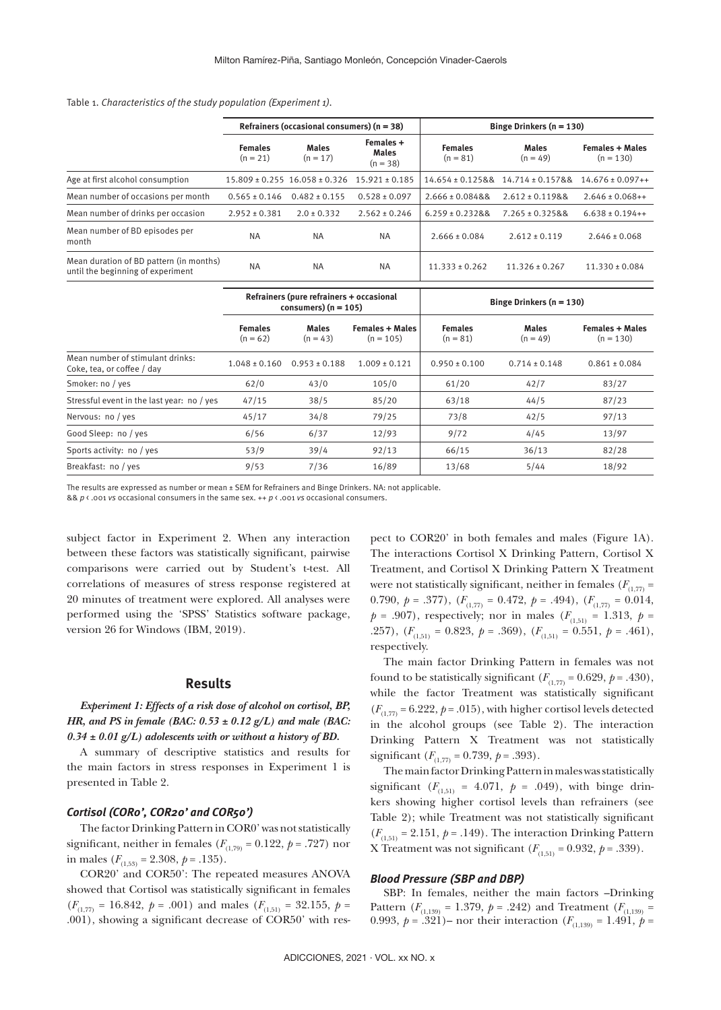#### Table 1. *Characteristics of the study population (Experiment 1).*

|                                                                              | Refrainers (occasional consumers) $(n = 38)$ |                                                                       |                    | Binge Drinkers $(n = 130)$                                 |                      |                                       |  |
|------------------------------------------------------------------------------|----------------------------------------------|-----------------------------------------------------------------------|--------------------|------------------------------------------------------------|----------------------|---------------------------------------|--|
|                                                                              | <b>Females</b><br>$(n = 21)$                 | Females +<br><b>Males</b><br><b>Males</b><br>$(n = 17)$<br>$(n = 38)$ |                    | <b>Females</b><br><b>Males</b><br>$(n = 49)$<br>$(n = 81)$ |                      | <b>Females + Males</b><br>$(n = 130)$ |  |
| Age at first alcohol consumption                                             |                                              | $15.809 \pm 0.255$ $16.058 \pm 0.326$                                 | $15.921 \pm 0.185$ | $14.654 \pm 0.12588$                                       | $14.714 \pm 0.15788$ | $14.676 \pm 0.097++$                  |  |
| Mean number of occasions per month                                           | $0.565 \pm 0.146$                            | $0.482 \pm 0.155$                                                     | $0.528 \pm 0.097$  | $2.666 \pm 0.08488$                                        | $2.612 \pm 0.11988$  | $2.646 \pm 0.068 + +$                 |  |
| Mean number of drinks per occasion                                           | $2.952 \pm 0.381$                            | $2.0 \pm 0.332$                                                       | $2.562 \pm 0.246$  | $6.259 \pm 0.23288$                                        | $7.265 \pm 0.32588$  | $6.638 \pm 0.194++$                   |  |
| Mean number of BD episodes per<br>month                                      | <b>NA</b>                                    | <b>NA</b>                                                             | <b>NA</b>          | $2.666 \pm 0.084$                                          | $2.612 \pm 0.119$    | $2.646 \pm 0.068$                     |  |
| Mean duration of BD pattern (in months)<br>until the beginning of experiment | <b>NA</b>                                    | <b>NA</b>                                                             | <b>NA</b>          | $11.333 \pm 0.262$                                         | $11.326 \pm 0.267$   | $11.330 \pm 0.084$                    |  |

|                                                                | Refrainers (pure refrainers + occasional<br>consumers) $(n = 105)$ |                            |                                       | Binge Drinkers $(n = 130)$   |                            |                                       |  |
|----------------------------------------------------------------|--------------------------------------------------------------------|----------------------------|---------------------------------------|------------------------------|----------------------------|---------------------------------------|--|
|                                                                | <b>Females</b><br>$(n = 62)$                                       | <b>Males</b><br>$(n = 43)$ | <b>Females + Males</b><br>$(n = 105)$ | <b>Females</b><br>$(n = 81)$ | <b>Males</b><br>$(n = 49)$ | <b>Females + Males</b><br>$(n = 130)$ |  |
| Mean number of stimulant drinks:<br>Coke, tea, or coffee / day | $1.048 \pm 0.160$                                                  | $0.953 \pm 0.188$          | $1.009 \pm 0.121$                     | $0.950 \pm 0.100$            | $0.714 \pm 0.148$          | $0.861 \pm 0.084$                     |  |
| Smoker: no / yes                                               | 62/0                                                               | 43/0                       | 105/0                                 | 61/20                        | 42/7                       | 83/27                                 |  |
| Stressful event in the last year: no / yes                     | 47/15                                                              | 38/5                       | 85/20                                 | 63/18                        | 44/5                       | 87/23                                 |  |
| Nervous: no / yes                                              | 45/17                                                              | 34/8                       | 79/25                                 | 73/8                         | 42/5                       | 97/13                                 |  |
| Good Sleep: no / yes                                           | 6/56                                                               | 6/37                       | 12/93                                 | 9/72                         | 4/45                       | 13/97                                 |  |
| Sports activity: no / yes                                      | 53/9                                                               | 39/4                       | 92/13                                 | 66/15                        | 36/13                      | 82/28                                 |  |
| Breakfast: no / yes                                            | 9/53                                                               | 7/36                       | 16/89                                 | 13/68                        | 5/44                       | 18/92                                 |  |

The results are expressed as number or mean ± SEM for Refrainers and Binge Drinkers. NA: not applicable.

&& *p* < .001 *vs* occasional consumers in the same sex. ++ *p* < .001 *vs* occasional consumers.

subject factor in Experiment 2. When any interaction between these factors was statistically significant, pairwise comparisons were carried out by Student's t-test. All correlations of measures of stress response registered at 20 minutes of treatment were explored. All analyses were performed using the 'SPSS' Statistics software package, version 26 for Windows (IBM, 2019).

#### **Results**

# *Experiment 1: Effects of a risk dose of alcohol on cortisol, BP, HR, and PS in female (BAC: 0.53 ± 0.12 g/L) and male (BAC: 0.34 ± 0.01 g/L) adolescents with or without a history of BD.*

A summary of descriptive statistics and results for the main factors in stress responses in Experiment 1 is presented in Table 2.

## *Cortisol (COR0', COR20' and COR50')*

The factor Drinking Pattern in COR0' was not statistically significant, neither in females ( $F_{(1,79)} = 0.122$ ,  $p = .727$ ) nor in males  $(F_{(1.53)} = 2.308, p = .135)$ .

COR20' and COR50': The repeated measures ANOVA showed that Cortisol was statistically significant in females  $(F_{(1,77)} = 16.842, p = .001)$  and males  $(F_{(1,51)} = 32.155, p =$ .001), showing a significant decrease of COR50' with respect to COR20' in both females and males (Figure 1A). The interactions Cortisol X Drinking Pattern, Cortisol X Treatment, and Cortisol X Drinking Pattern X Treatment were not statistically significant, neither in females ( $F_{(1,77)}$  = 0.790,  $p = .377$ ,  $(F_{(1,77)} = 0.472, p = .494)$ ,  $(F_{(1,77)} = 0.014,$  $p = .907$ , respectively; nor in males ( $F_{(1,51)} = 1.313$ ,  $p =$ .257),  $(F_{(1,51)} = 0.823, p = .369)$ ,  $(F_{(1,51)} = 0.551, p = .461)$ , respectively.

The main factor Drinking Pattern in females was not found to be statistically significant  $(F_{(1,77)} = 0.629, p = .430)$ , while the factor Treatment was statistically significant  $(F_{(1,77)} = 6.222, p = .015)$ , with higher cortisol levels detected in the alcohol groups (see Table 2). The interaction Drinking Pattern X Treatment was not statistically significant  $(F_{(1,77)} = 0.739, p = .393)$ .

The main factor Drinking Pattern in males was statistically significant ( $F_{(1,51)} = 4.071$ ,  $p = .049$ ), with binge drinkers showing higher cortisol levels than refrainers (see Table 2); while Treatment was not statistically significant  $(F<sub>(1,51)</sub> = 2.151, p = .149)$ . The interaction Drinking Pattern X Treatment was not significant  $(F_{(1,51)} = 0.932, p = .339)$ .

#### *Blood Pressure (SBP and DBP)*

SBP: In females, neither the main factors –Drinking Pattern ( $F_{(1,139)} = 1.379$ ,  $p = .242$ ) and Treatment ( $F_{(1,139)} =$ 0.993,  $p = .321$ )– nor their interaction ( $F_{(1,139)} = 1.491$ ,  $p =$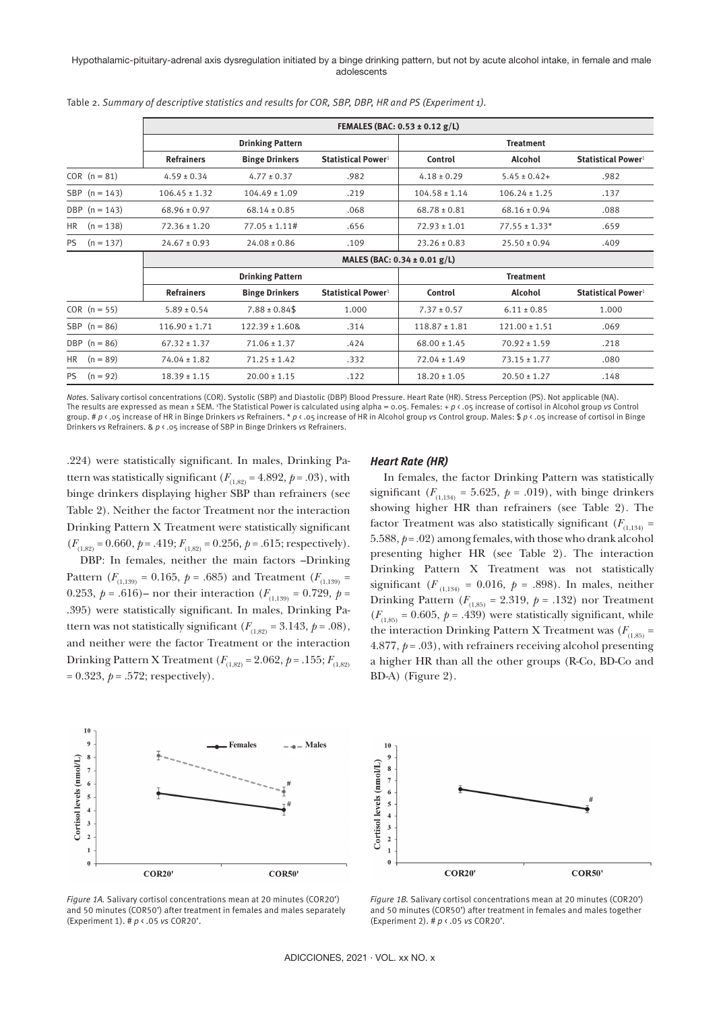#### Hypothalamic-pituitary-adrenal axis dysregulation initiated by a binge drinking pattern, but not by acute alcohol intake, in female and male adolescents

|                          |                                  |                         |                                | FEMALES (BAC: $0.53 \pm 0.12$ g/L) |                   |                                |  |  |  |  |
|--------------------------|----------------------------------|-------------------------|--------------------------------|------------------------------------|-------------------|--------------------------------|--|--|--|--|
|                          |                                  | <b>Drinking Pattern</b> |                                |                                    | <b>Treatment</b>  |                                |  |  |  |  |
|                          | <b>Refrainers</b>                | <b>Binge Drinkers</b>   | Statistical Power <sup>1</sup> | Control                            | Alcohol           | Statistical Power <sup>1</sup> |  |  |  |  |
| $COR (n = 81)$           | $4.59 \pm 0.34$                  | $4.77 \pm 0.37$         | .982                           | $4.18 \pm 0.29$                    | $5.45 \pm 0.42+$  | .982                           |  |  |  |  |
| SBP $(n = 143)$          | $106.45 \pm 1.32$                | $104.49 \pm 1.09$       | .219                           | $104.58 \pm 1.14$                  | $106.24 \pm 1.25$ | .137                           |  |  |  |  |
| DBP $(n = 143)$          | $68.96 \pm 0.97$                 | $68.14 \pm 0.85$        | .068                           | $68.78 \pm 0.81$                   | $68.16 \pm 0.94$  | .088                           |  |  |  |  |
| <b>HR</b><br>$(n = 138)$ | $72.36 \pm 1.20$                 | $77.05 \pm 1.11$ #      | .656                           | $72.93 \pm 1.01$                   | $77.55 \pm 1.33*$ | .659                           |  |  |  |  |
| <b>PS</b><br>$(n = 137)$ | $24.67 \pm 0.93$                 | $24.08 \pm 0.86$        | .109                           | $23.26 \pm 0.83$                   | $25.50 \pm 0.94$  | .409                           |  |  |  |  |
|                          | MALES (BAC: $0.34 \pm 0.01$ g/L) |                         |                                |                                    |                   |                                |  |  |  |  |
|                          |                                  | <b>Drinking Pattern</b> |                                |                                    | <b>Treatment</b>  |                                |  |  |  |  |
|                          | <b>Refrainers</b>                | <b>Binge Drinkers</b>   | Statistical Power <sup>1</sup> | Control                            | Alcohol           | Statistical Power <sup>1</sup> |  |  |  |  |
| $COR (n = 55)$           | $5.89 \pm 0.54$                  | $7.88 \pm 0.84$ \$      | 1.000                          | $7.37 \pm 0.57$                    | $6.11 \pm 0.85$   | 1.000                          |  |  |  |  |
| SBP $(n = 86)$           | $116.90 \pm 1.71$                | $122.39 \pm 1.608$      | .314                           | $118.87 \pm 1.81$                  | $121.00 \pm 1.51$ | .069                           |  |  |  |  |
| DBP $(n = 86)$           | $67.32 \pm 1.37$                 | $71.06 \pm 1.37$        | .424                           | $68.00 \pm 1.45$                   | $70.92 \pm 1.59$  | .218                           |  |  |  |  |
| $(n = 89)$<br><b>HR</b>  | $74.04 \pm 1.82$                 | $71.25 \pm 1.42$        | .332                           | $72.04 \pm 1.49$                   | $73.15 \pm 1.77$  | .080                           |  |  |  |  |
| PS.<br>$(n = 92)$        | $18.39 \pm 1.15$                 | $20.00 \pm 1.15$        | .122                           | $18.20 \pm 1.05$                   | $20.50 \pm 1.27$  | .148                           |  |  |  |  |

Table 2. *Summary of descriptive statistics and results for COR, SBP, DBP, HR and PS (Experiment 1).*

*Notes.* Salivary cortisol concentrations (COR). Systolic (SBP) and Diastolic (DBP) Blood Pressure. Heart Rate (HR). Stress Perception (PS). Not applicable (NA). The results are expressed as mean ± SEM. 1 The Statistical Power is calculated using alpha = 0.05. Females: + *p* < .05 increase of cortisol in Alcohol group *vs* Control group. # *p* < .05 increase of HR in Binge Drinkers *vs* Refrainers. \* *p* < .05 increase of HR in Alcohol group *vs* Control group. Males: \$ *p* < .05 increase of cortisol in Binge Drinkers *vs* Refrainers. & *p* < .05 increase of SBP in Binge Drinkers *vs* Refrainers.

.224) were statistically significant. In males, Drinking Pattern was statistically significant ( $F_{(1,82)} = 4.892$ ,  $p = .03$ ), with binge drinkers displaying higher SBP than refrainers (see Table 2). Neither the factor Treatment nor the interaction Drinking Pattern X Treatment were statistically significant  $(F_{(1,82)} = 0.660, p = .419; F_{(1,82)} = 0.256, p = .615;$  respectively).

DBP: In females, neither the main factors –Drinking Pattern ( $F_{(1,139)} = 0.165$ ,  $p = .685$ ) and Treatment ( $F_{(1,139)} =$ 0.253,  $p = .616$ ) – nor their interaction ( $F_{(1,139)} = 0.729$ ,  $p =$ .395) were statistically significant. In males, Drinking Pattern was not statistically significant  $(F_{(1,82)} = 3.143, p = .08)$ , and neither were the factor Treatment or the interaction Drinking Pattern X Treatment ( $F_{(1,82)} = 2.062$ ,  $p = .155$ ;  $F_{(1,82)}$  $= 0.323, p = .572$ ; respectively).

#### *Heart Rate (HR)*

In females, the factor Drinking Pattern was statistically significant  $(F_{(1,134)} = 5.625, p = .019)$ , with binge drinkers showing higher HR than refrainers (see Table 2). The factor Treatment was also statistically significant  $(F_{(1,134)} =$ 5.588,  $p = .02$ ) among females, with those who drank alcohol presenting higher HR (see Table 2). The interaction Drinking Pattern X Treatment was not statistically significant ( $F_{(1,134)} = 0.016$ ,  $p = .898$ ). In males, neither Drinking Pattern  $(F_{(1,85)} = 2.319, p = .132)$  nor Treatment  $(F_{(1,85)} = 0.605, p = .439)$  were statistically significant, while the interaction Drinking Pattern X Treatment was  $(F_{(1,85)} =$ 4.877,  $p = .03$ ), with refrainers receiving alcohol presenting a higher HR than all the other groups (R-Co, BD-Co and BD-A) (Figure 2).





*Figure 1A.* Salivary cortisol concentrations mean at 20 minutes (COR20') and 50 minutes (COR50') after treatment in females and males separately (Experiment 1). # *p* < .05 *vs* COR20'.

*Figure 1B.* Salivary cortisol concentrations mean at 20 minutes (COR20') and 50 minutes (COR50') after treatment in females and males together (Experiment 2). # *p* < .05 *vs* COR20'.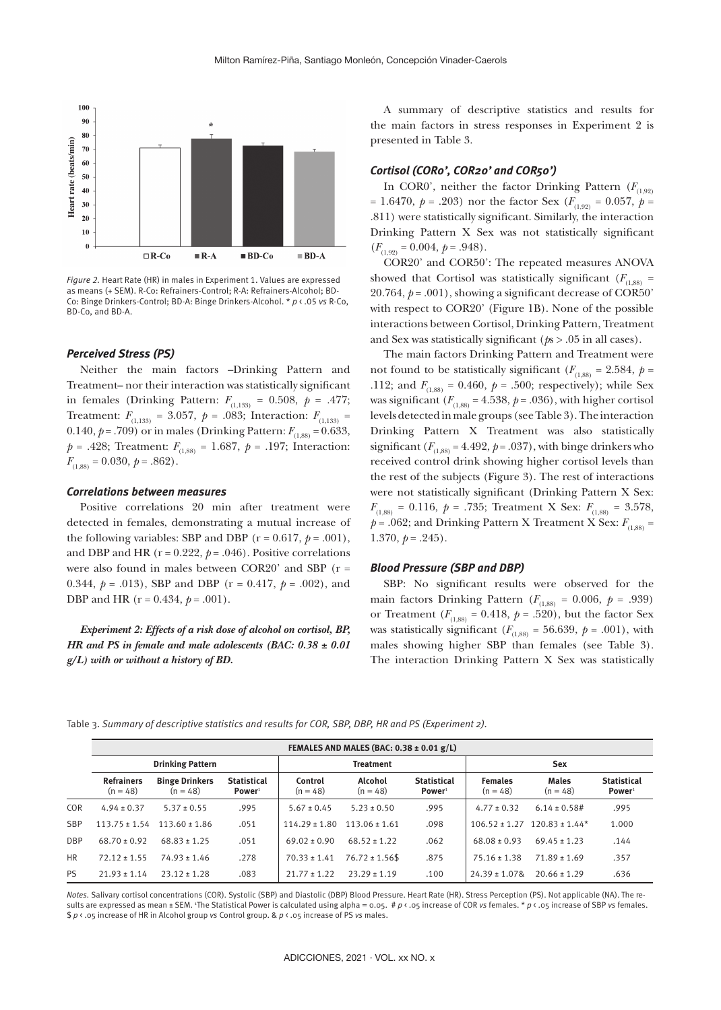

*Figure 2.* Heart Rate (HR) in males in Experiment 1. Values are expressed as means (+ SEM). R-Co: Refrainers-Control; R-A: Refrainers-Alcohol; BD-Co: Binge Drinkers-Control; BD-A: Binge Drinkers-Alcohol. \* *p* < .05 *vs* R-Co, BD-Co, and BD-A.

#### *Perceived Stress (PS)*

Neither the main factors –Drinking Pattern and Treatment– nor their interaction was statistically significant in females (Drinking Pattern:  $F_{(1,133)} = 0.508, p = .477;$ Treatment:  $F_{(1,133)} = 3.057$ ,  $p = .083$ ; Interaction:  $F_{(1,133)} =$ 0.140,  $p = .709$ ) or in males (Drinking Pattern:  $F_{(1,88)} = 0.633$ ,  $p = .428$ ; Treatment:  $F_{(1,88)} = 1.687$ ,  $p = .197$ ; Interaction:  $F_{(1,88)} = 0.030, p = .862$ .

#### *Correlations between measures*

Positive correlations 20 min after treatment were detected in females, demonstrating a mutual increase of the following variables: SBP and DBP  $(r = 0.617, p = .001)$ , and DBP and HR ( $r = 0.222$ ,  $p = .046$ ). Positive correlations were also found in males between COR20' and SBP (r = 0.344,  $p = .013$ ), SBP and DBP ( $r = 0.417$ ,  $p = .002$ ), and DBP and HR (r = 0.434, *p* = .001).

*Experiment 2: Effects of a risk dose of alcohol on cortisol, BP, HR and PS in female and male adolescents (BAC: 0.38 ± 0.01 g/L) with or without a history of BD.*

A summary of descriptive statistics and results for the main factors in stress responses in Experiment 2 is presented in Table 3.

#### *Cortisol (COR0', COR20' and COR50')*

In COR0', neither the factor Drinking Pattern  $(F_{(1,92)}$ = 1.6470,  $p = .203$ ) nor the factor Sex ( $F_{(1,92)} = 0.057$ ,  $p =$ .811) were statistically significant. Similarly, the interaction Drinking Pattern X Sex was not statistically significant  $(F_{(1,92)} = 0.004, p = .948).$ 

COR20' and COR50': The repeated measures ANOVA showed that Cortisol was statistically significant ( $F_{(1,88)}$  = 20.764,  $p = .001$ ), showing a significant decrease of COR50' with respect to COR20' (Figure 1B). None of the possible interactions between Cortisol, Drinking Pattern, Treatment and Sex was statistically significant (*p*s > .05 in all cases).

The main factors Drinking Pattern and Treatment were not found to be statistically significant ( $F_{(1,88)} = 2.584$ ,  $p =$ .112; and  $F_{(1,88)} = 0.460, p = .500$ ; respectively); while Sex was significant  $(F_{(1,88)} = 4.538, p = .036)$ , with higher cortisol levels detected in male groups (see Table 3). The interaction Drinking Pattern X Treatment was also statistically significant  $(F_{(1,88)} = 4.492, p = .037)$ , with binge drinkers who received control drink showing higher cortisol levels than the rest of the subjects (Figure 3). The rest of interactions were not statistically significant (Drinking Pattern X Sex:  $F_{(1,88)} = 0.116, p = .735;$  Treatment X Sex:  $F_{(1,88)} = 3.578$ ,  $p = .062$ ; and Drinking Pattern X Treatment X Sex:  $F_{(1,88)}$  = 1.370,  $p = .245$ ).

## *Blood Pressure (SBP and DBP)*

SBP: No significant results were observed for the main factors Drinking Pattern ( $F_{(1,88)} = 0.006$ ,  $p = .939$ ) or Treatment ( $F_{(1,88)} = 0.418$ ,  $p = .520$ ), but the factor Sex was statistically significant ( $F_{(1,88)} = 56.639$ ,  $p = .001$ ), with males showing higher SBP than females (see Table 3). The interaction Drinking Pattern X Sex was statistically

|  |  |  | Table 3. Summary of descriptive statistics and results for COR, SBP, DBP, HR and PS (Experiment 2). |
|--|--|--|-----------------------------------------------------------------------------------------------------|
|--|--|--|-----------------------------------------------------------------------------------------------------|

|            | FEMALES AND MALES (BAC: $0.38 \pm 0.01$ g/L) |                                     |                                          |                       |                       |                                          |                              |                            |                                          |
|------------|----------------------------------------------|-------------------------------------|------------------------------------------|-----------------------|-----------------------|------------------------------------------|------------------------------|----------------------------|------------------------------------------|
|            | <b>Drinking Pattern</b>                      |                                     |                                          | <b>Treatment</b>      |                       |                                          | <b>Sex</b>                   |                            |                                          |
|            | <b>Refrainers</b><br>$(n = 48)$              | <b>Binge Drinkers</b><br>$(n = 48)$ | <b>Statistical</b><br>Power <sup>1</sup> | Control<br>$(n = 48)$ | Alcohol<br>$(n = 48)$ | <b>Statistical</b><br>Power <sup>1</sup> | <b>Females</b><br>$(n = 48)$ | <b>Males</b><br>$(n = 48)$ | <b>Statistical</b><br>Power <sup>1</sup> |
| <b>COR</b> | $4.94 \pm 0.37$                              | $5.37 \pm 0.55$                     | .995                                     | $5.67 \pm 0.45$       | $5.23 \pm 0.50$       | .995                                     | $4.77 \pm 0.32$              | $6.14 \pm 0.58 \#$         | .995                                     |
| <b>SBP</b> | $113.75 \pm 1.54$                            | $113.60 + 1.86$                     | .051                                     | $114.29 \pm 1.80$     | $113.06 \pm 1.61$     | .098                                     | $106.52 \pm 1.27$            | $120.83 \pm 1.44*$         | 1.000                                    |
| <b>DBP</b> | $68.70 \pm 0.92$                             | $68.83 \pm 1.25$                    | .051                                     | $69.02 \pm 0.90$      | $68.52 \pm 1.22$      | .062                                     | $68.08 \pm 0.93$             | $69.45 \pm 1.23$           | .144                                     |
| <b>HR</b>  | $72.12 \pm 1.55$                             | $74.93 \pm 1.46$                    | .278                                     | $70.33 \pm 1.41$      | $76.72 \pm 1.56$ \$   | .875                                     | $75.16 \pm 1.38$             | $71.89 \pm 1.69$           | .357                                     |
| <b>PS</b>  | $21.93 \pm 1.14$                             | $23.12 \pm 1.28$                    | .083                                     | $21.77 \pm 1.22$      | $23.29 \pm 1.19$      | .100                                     | $24.39 \pm 1.078$            | $20.66 \pm 1.29$           | .636                                     |

*Notes.* Salivary cortisol concentrations (COR). Systolic (SBP) and Diastolic (DBP) Blood Pressure. Heart Rate (HR). Stress Perception (PS). Not applicable (NA). The results are expressed as mean ± SEM. 1 The Statistical Power is calculated using alpha = 0.05. # *p* < .05 increase of COR *vs* females. \* *p* < .05 increase of SBP *vs* females. \$ *p* < .05 increase of HR in Alcohol group *vs* Control group. & *p* < .05 increase of PS *vs* males.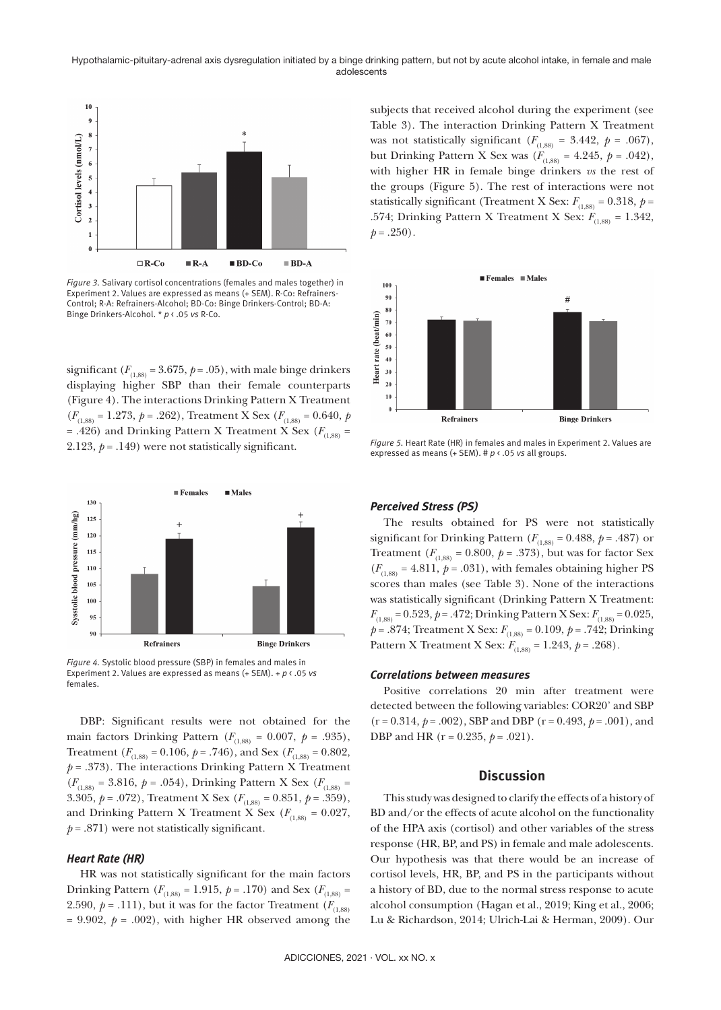

*Figure 3.* Salivary cortisol concentrations (females and males together) in Experiment 2. Values are expressed as means (+ SEM). R-Co: Refrainers-Control; R-A: Refrainers-Alcohol; BD-Co: Binge Drinkers-Control; BD-A: Binge Drinkers-Alcohol. \* *p* < .05 *vs* R-Co.

significant  $(F_{(1,88)} = 3.675, p = .05)$ , with male binge drinkers displaying higher SBP than their female counterparts (Figure 4). The interactions Drinking Pattern X Treatment  $(F_{(1,88)} = 1.273, p = .262)$ , Treatment X Sex  $(F_{(1,88)} = 0.640, p$ = .426) and Drinking Pattern X Treatment X Sex ( $F_{(1,88)}$  = 2.123,  $p = .149$ ) were not statistically significant.



*Figure 4.* Systolic blood pressure (SBP) in females and males in Experiment 2. Values are expressed as means (+ SEM). + *p* < .05 *vs*  females.

DBP: Significant results were not obtained for the main factors Drinking Pattern ( $F_{(1,88)} = 0.007$ ,  $p = .935$ ), Treatment ( $F_{(1,88)} = 0.106$ ,  $p = .746$ ), and Sex ( $F_{(1,88)} = 0.802$ ,  $p = .373$ ). The interactions Drinking Pattern X Treatment  $(F_{(1,88)} = 3.816, p = .054)$ , Drinking Pattern X Sex  $(F_{(1,88)} =$ 3.305,  $p = .072$ ), Treatment X Sex ( $F_{(1,88)} = 0.851$ ,  $p = .359$ ), and Drinking Pattern X Treatment X Sex ( $F_{(1,88)} = 0.027$ ,  $p = .871$ ) were not statistically significant.

#### *Heart Rate (HR)*

HR was not statistically significant for the main factors Drinking Pattern ( $F_{(1,88)} = 1.915$ ,  $p = .170$ ) and Sex ( $F_{(1,88)} =$ 2.590,  $p = .111$ ), but it was for the factor Treatment ( $F_{(1,88)}$ )  $= 9.902$ ,  $p = .002$ ), with higher HR observed among the subjects that received alcohol during the experiment (see Table 3). The interaction Drinking Pattern X Treatment was not statistically significant  $(F_{(1,88)} = 3.442, p = .067)$ , but Drinking Pattern X Sex was  $(F_{(1,88)} = 4.245, p = .042)$ , with higher HR in female binge drinkers *vs* the rest of the groups (Figure 5). The rest of interactions were not statistically significant (Treatment X Sex:  $F_{(1,88)} = 0.318$ ,  $p =$ .574; Drinking Pattern X Treatment X Sex:  $F_{(1,88)} = 1.342$ ,  $p = .250$ .



*Figure 5.* Heart Rate (HR) in females and males in Experiment 2. Values are expressed as means (+ SEM). # *p* < .05 *vs* all groups.

# *Perceived Stress (PS)*

The results obtained for PS were not statistically significant for Drinking Pattern ( $F_{(1,88)} = 0.488$ ,  $p = .487$ ) or Treatment  $(F_{(1,88)} = 0.800, p = .373)$ , but was for factor Sex  $(F_{(1,88)} = 4.811, p = .031)$ , with females obtaining higher PS scores than males (see Table 3). None of the interactions was statistically significant (Drinking Pattern X Treatment:  $F_{(1,88)} = 0.523, p = .472$ ; Drinking Pattern X Sex:  $F_{(1,88)} = 0.025$ , *p* = .874; Treatment X Sex: *F*(1,88) = 0.109, *p* = .742; Drinking Pattern X Treatment X Sex:  $F_{(1,88)} = 1.243$ ,  $p = .268$ ).

#### *Correlations between measures*

Positive correlations 20 min after treatment were detected between the following variables: COR20' and SBP (r = 0.314, *p* = .002), SBP and DBP (r = 0.493, *p* = .001), and DBP and HR (r = 0.235, *p* = .021).

# **Discussion**

This study was designed to clarify the effects of a history of BD and/or the effects of acute alcohol on the functionality of the HPA axis (cortisol) and other variables of the stress response (HR, BP, and PS) in female and male adolescents. Our hypothesis was that there would be an increase of cortisol levels, HR, BP, and PS in the participants without a history of BD, due to the normal stress response to acute alcohol consumption (Hagan et al., 2019; King et al., 2006; Lu & Richardson, 2014; Ulrich-Lai & Herman, 2009). Our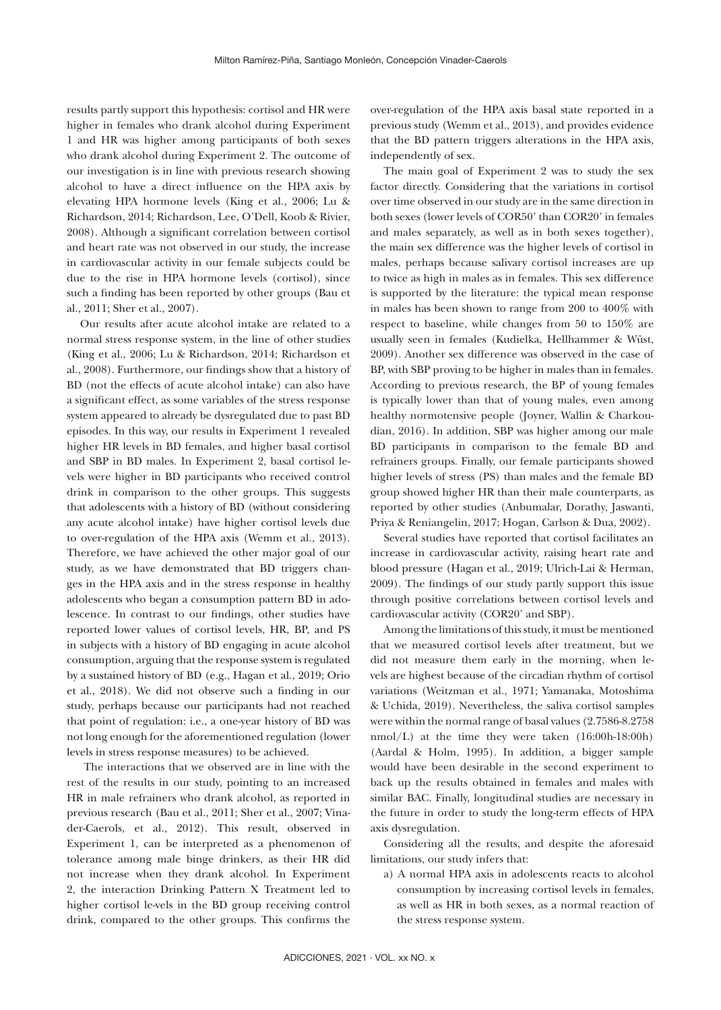results partly support this hypothesis: cortisol and HR were higher in females who drank alcohol during Experiment 1 and HR was higher among participants of both sexes who drank alcohol during Experiment 2. The outcome of our investigation is in line with previous research showing alcohol to have a direct influence on the HPA axis by elevating HPA hormone levels (King et al., 2006; Lu & Richardson, 2014; Richardson, Lee, O'Dell, Koob & Rivier, 2008). Although a significant correlation between cortisol and heart rate was not observed in our study, the increase in cardiovascular activity in our female subjects could be due to the rise in HPA hormone levels (cortisol), since such a finding has been reported by other groups (Bau et al., 2011; Sher et al., 2007).

Our results after acute alcohol intake are related to a normal stress response system, in the line of other studies (King et al., 2006; Lu & Richardson, 2014; Richardson et al., 2008). Furthermore, our findings show that a history of BD (not the effects of acute alcohol intake) can also have a significant effect, as some variables of the stress response system appeared to already be dysregulated due to past BD episodes. In this way, our results in Experiment 1 revealed higher HR levels in BD females, and higher basal cortisol and SBP in BD males. In Experiment 2, basal cortisol levels were higher in BD participants who received control drink in comparison to the other groups. This suggests that adolescents with a history of BD (without considering any acute alcohol intake) have higher cortisol levels due to over-regulation of the HPA axis (Wemm et al., 2013). Therefore, we have achieved the other major goal of our study, as we have demonstrated that BD triggers changes in the HPA axis and in the stress response in healthy adolescents who began a consumption pattern BD in adolescence. In contrast to our findings, other studies have reported lower values of cortisol levels, HR, BP, and PS in subjects with a history of BD engaging in acute alcohol consumption, arguing that the response system is regulated by a sustained history of BD (e.g., Hagan et al., 2019; Orio et al., 2018). We did not observe such a finding in our study, perhaps because our participants had not reached that point of regulation: i.e., a one-year history of BD was not long enough for the aforementioned regulation (lower levels in stress response measures) to be achieved.

The interactions that we observed are in line with the rest of the results in our study, pointing to an increased HR in male refrainers who drank alcohol, as reported in previous research (Bau et al., 2011; Sher et al., 2007; Vinader-Caerols, et al., 2012). This result, observed in Experiment 1, can be interpreted as a phenomenon of tolerance among male binge drinkers, as their HR did not increase when they drank alcohol. In Experiment 2, the interaction Drinking Pattern X Treatment led to higher cortisol le-vels in the BD group receiving control drink, compared to the other groups. This confirms the

over-regulation of the HPA axis basal state reported in a previous study (Wemm et al., 2013), and provides evidence that the BD pattern triggers alterations in the HPA axis, independently of sex.

The main goal of Experiment 2 was to study the sex factor directly. Considering that the variations in cortisol over time observed in our study are in the same direction in both sexes (lower levels of COR50' than COR20' in females and males separately, as well as in both sexes together), the main sex difference was the higher levels of cortisol in males, perhaps because salivary cortisol increases are up to twice as high in males as in females. This sex difference is supported by the literature: the typical mean response in males has been shown to range from 200 to 400% with respect to baseline, while changes from 50 to 150% are usually seen in females (Kudielka, Hellhammer & Wüst, 2009). Another sex difference was observed in the case of BP, with SBP proving to be higher in males than in females. According to previous research, the BP of young females is typically lower than that of young males, even among healthy normotensive people (Joyner, Wallin & Charkoudian, 2016). In addition, SBP was higher among our male BD participants in comparison to the female BD and refrainers groups. Finally, our female participants showed higher levels of stress (PS) than males and the female BD group showed higher HR than their male counterparts, as reported by other studies (Anbumalar, Dorathy, Jaswanti, Priya & Reniangelin, 2017; Hogan, Carlson & Dua, 2002).

Several studies have reported that cortisol facilitates an increase in cardiovascular activity, raising heart rate and blood pressure (Hagan et al., 2019; Ulrich-Lai & Herman, 2009). The findings of our study partly support this issue through positive correlations between cortisol levels and cardiovascular activity (COR20' and SBP).

Among the limitations of this study, it must be mentioned that we measured cortisol levels after treatment, but we did not measure them early in the morning, when levels are highest because of the circadian rhythm of cortisol variations (Weitzman et al., 1971; Yamanaka, Motoshima & Uchida, 2019). Nevertheless, the saliva cortisol samples were within the normal range of basal values (2.7586-8.2758 nmol/L) at the time they were taken (16:00h-18:00h) (Aardal & Holm, 1995). In addition, a bigger sample would have been desirable in the second experiment to back up the results obtained in females and males with similar BAC. Finally, longitudinal studies are necessary in the future in order to study the long-term effects of HPA axis dysregulation.

Considering all the results, and despite the aforesaid limitations, our study infers that:

a) A normal HPA axis in adolescents reacts to alcohol consumption by increasing cortisol levels in females, as well as HR in both sexes, as a normal reaction of the stress response system.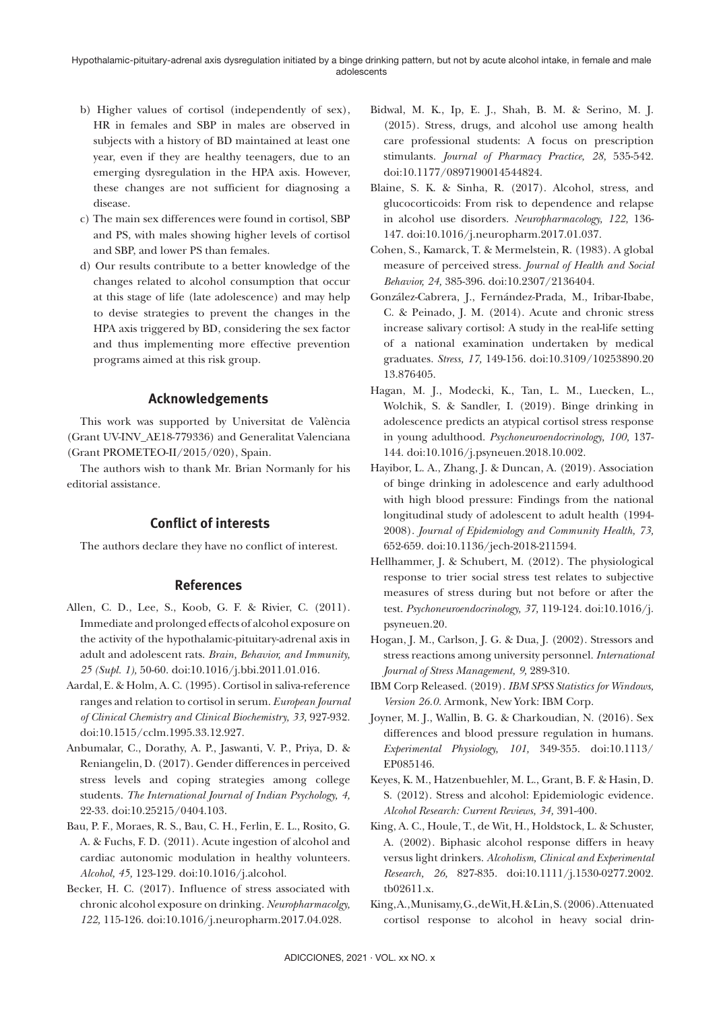- b) Higher values of cortisol (independently of sex), HR in females and SBP in males are observed in subjects with a history of BD maintained at least one year, even if they are healthy teenagers, due to an emerging dysregulation in the HPA axis. However, these changes are not sufficient for diagnosing a disease.
- c) The main sex differences were found in cortisol, SBP and PS, with males showing higher levels of cortisol and SBP, and lower PS than females.
- d) Our results contribute to a better knowledge of the changes related to alcohol consumption that occur at this stage of life (late adolescence) and may help to devise strategies to prevent the changes in the HPA axis triggered by BD, considering the sex factor and thus implementing more effective prevention programs aimed at this risk group.

# **Acknowledgements**

This work was supported by Universitat de València (Grant UV-INV\_AE18-779336) and Generalitat Valenciana (Grant PROMETEO-II/2015/020), Spain.

The authors wish to thank Mr. Brian Normanly for his editorial assistance.

# **Conflict of interests**

The authors declare they have no conflict of interest.

# **References**

- Allen, C. D., Lee, S., Koob, G. F. & Rivier, C. (2011). Immediate and prolonged effects of alcohol exposure on the activity of the hypothalamic-pituitary-adrenal axis in adult and adolescent rats. *Brain, Behavior, and Immunity, 25 (Supl. 1),* 50-60. doi:10.1016/j.bbi.2011.01.016.
- Aardal, E. & Holm, A. C. (1995). Cortisol in saliva-reference ranges and relation to cortisol in serum. *European Journal of Clinical Chemistry and Clinical Biochemistry, 33,* 927-932. doi:10.1515/cclm.1995.33.12.927.
- Anbumalar, C., Dorathy, A. P., Jaswanti, V. P., Priya, D. & Reniangelin, D. (2017). Gender differences in perceived stress levels and coping strategies among college students. *The International Journal of Indian Psychology, 4,* 22-33. doi:10.25215/0404.103.
- Bau, P. F., Moraes, R. S., Bau, C. H., Ferlin, E. L., Rosito, G. A. & Fuchs, F. D. (2011). Acute ingestion of alcohol and cardiac autonomic modulation in healthy volunteers. *Alcohol, 45,* 123-129. doi:10.1016/j.alcohol.
- Becker, H. C. (2017). Influence of stress associated with chronic alcohol exposure on drinking. *Neuropharmacolgy, 122,* 115-126. doi:10.1016/j.neuropharm.2017.04.028.
- Bidwal, M. K., Ip, E. J., Shah, B. M. & Serino, M. J. (2015). Stress, drugs, and alcohol use among health care professional students: A focus on prescription stimulants. *Journal of Pharmacy Practice, 28,* 535-542. doi:10.1177/0897190014544824.
- Blaine, S. K. & Sinha, R. (2017). Alcohol, stress, and glucocorticoids: From risk to dependence and relapse in alcohol use disorders. *Neuropharmacology, 122,* 136- 147. doi:10.1016/j.neuropharm.2017.01.037.
- Cohen, S., Kamarck, T. & Mermelstein, R. (1983). A global measure of perceived stress. *Journal of Health and Social Behavior, 24,* 385-396. doi:10.2307/2136404.
- González-Cabrera, J., Fernández-Prada, M., Iribar-Ibabe, C. & Peinado, J. M. (2014). Acute and chronic stress increase salivary cortisol: A study in the real-life setting of a national examination undertaken by medical graduates. *Stress, 17,* 149-156. doi:10.3109/10253890.20 13.876405.
- Hagan, M. J., Modecki, K., Tan, L. M., Luecken, L., Wolchik, S. & Sandler, I. (2019). Binge drinking in adolescence predicts an atypical cortisol stress response in young adulthood. *Psychoneuroendocrinology, 100,* 137- 144. doi:10.1016/j.psyneuen.2018.10.002.
- Hayibor, L. A., Zhang, J. & Duncan, A. (2019). Association of binge drinking in adolescence and early adulthood with high blood pressure: Findings from the national longitudinal study of adolescent to adult health (1994- 2008). *Journal of Epidemiology and Community Health, 73,* 652-659. doi:10.1136/jech-2018-211594.
- Hellhammer, J. & Schubert, M. (2012). The physiological response to trier social stress test relates to subjective measures of stress during but not before or after the test. *Psychoneuroendocrinology, 37,* 119-124. doi:10.1016/j. psyneuen.20.
- Hogan, J. M., Carlson, J. G. & Dua, J. (2002). Stressors and stress reactions among university personnel. *International Journal of Stress Management, 9,* 289-310.
- IBM Corp Released. (2019). *IBM SPSS Statistics for Windows, Version 26.0.* Armonk, New York: IBM Corp.
- Joyner, M. J., Wallin, B. G. & Charkoudian, N. (2016). Sex differences and blood pressure regulation in humans. *Experimental Physiology, 101,* 349-355. doi:10.1113/ EP085146.
- Keyes, K. M., Hatzenbuehler, M. L., Grant, B. F. & Hasin, D. S. (2012). Stress and alcohol: Epidemiologic evidence. *Alcohol Research: Current Reviews, 34,* 391-400.
- King, A. C., Houle, T., de Wit, H., Holdstock, L. & Schuster, A. (2002). Biphasic alcohol response differs in heavy versus light drinkers. *Alcoholism, Clinical and Experimental Research, 26,* 827-835. doi:10.1111/j.1530-0277.2002. tb02611.x.
- King, A., Munisamy, G., de Wit, H. & Lin, S. (2006). Attenuated cortisol response to alcohol in heavy social drin-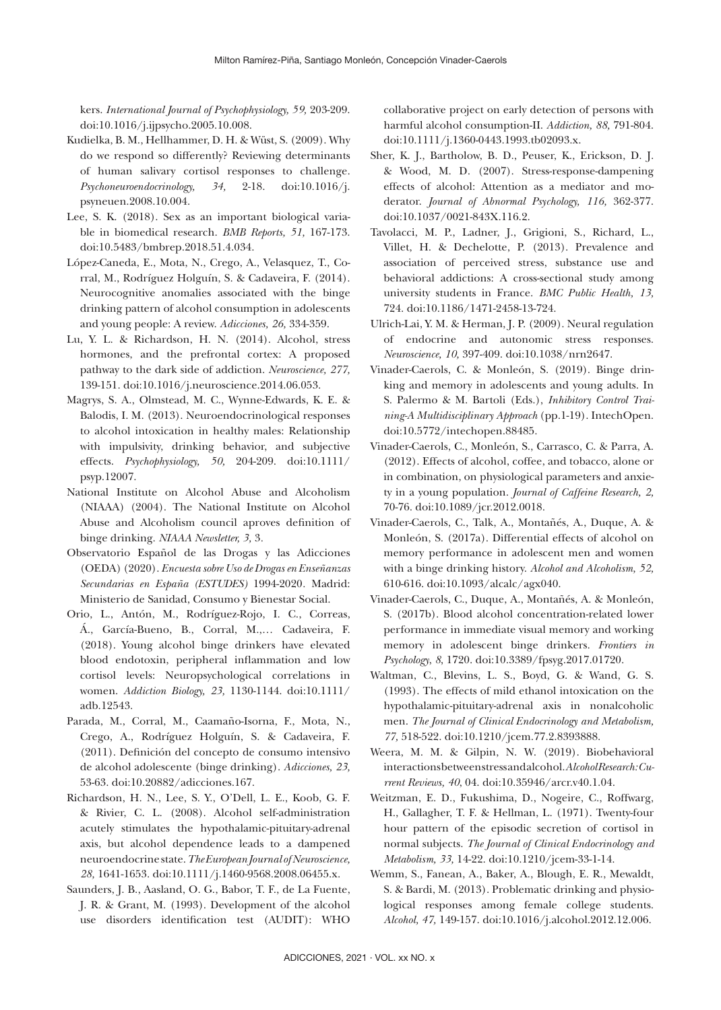kers. *International Journal of Psychophysiology, 59,* 203-209. doi:10.1016/j.ijpsycho.2005.10.008.

- Kudielka, B. M., Hellhammer, D. H. & Wüst, S. (2009). Why do we respond so differently? Reviewing determinants of human salivary cortisol responses to challenge. *Psychoneuroendocrinology, 34,* 2-18. doi:10.1016/j. psyneuen.2008.10.004.
- Lee, S. K. (2018). Sex as an important biological variable in biomedical research. *BMB Reports, 51,* 167-173. doi:10.5483/bmbrep.2018.51.4.034.
- López-Caneda, E., Mota, N., Crego, A., Velasquez, T., Corral, M., Rodríguez Holguín, S. & Cadaveira, F. (2014). Neurocognitive anomalies associated with the binge drinking pattern of alcohol consumption in adolescents and young people: A review. *Adicciones, 26,* 334-359.
- Lu, Y. L. & Richardson, H. N. (2014). Alcohol, stress hormones, and the prefrontal cortex: A proposed pathway to the dark side of addiction. *Neuroscience, 277,* 139-151. doi:10.1016/j.neuroscience.2014.06.053.
- Magrys, S. A., Olmstead, M. C., Wynne-Edwards, K. E. & Balodis, I. M. (2013). Neuroendocrinological responses to alcohol intoxication in healthy males: Relationship with impulsivity, drinking behavior, and subjective effects. *Psychophysiology, 50,* 204-209. doi:10.1111/ psyp.12007.
- National Institute on Alcohol Abuse and Alcoholism (NIAAA) (2004). The National Institute on Alcohol Abuse and Alcoholism council aproves definition of binge drinking. *NIAAA Newsletter, 3,* 3*.*
- Observatorio Español de las Drogas y las Adicciones (OEDA) (2020). *Encuesta sobre Uso de Drogas en Enseñanzas Secundarias en España (ESTUDES)* 1994-2020*.* Madrid: Ministerio de Sanidad, Consumo y Bienestar Social.
- Orio, L., Antón, M., Rodríguez-Rojo, I. C., Correas, Á., García-Bueno, B., Corral, M.,… Cadaveira, F. (2018). Young alcohol binge drinkers have elevated blood endotoxin, peripheral inflammation and low cortisol levels: Neuropsychological correlations in women. *Addiction Biology, 23,* 1130-1144. doi:10.1111/ adb.12543.
- Parada, M., Corral, M., Caamaño-Isorna, F., Mota, N., Crego, A., Rodríguez Holguín, S. & Cadaveira, F. (2011). Definición del concepto de consumo intensivo de alcohol adolescente (binge drinking). *Adicciones, 23,* 53-63. doi:10.20882/adicciones.167.
- Richardson, H. N., Lee, S. Y., O'Dell, L. E., Koob, G. F. & Rivier, C. L. (2008). Alcohol self-administration acutely stimulates the hypothalamic-pituitary-adrenal axis, but alcohol dependence leads to a dampened neuroendocrine state. *The European Journal of Neuroscience, 28,* 1641-1653. doi:10.1111/j.1460-9568.2008.06455.x.
- Saunders, J. B., Aasland, O. G., Babor, T. F., de La Fuente, J. R. & Grant, M. (1993). Development of the alcohol use disorders identification test (AUDIT): WHO

collaborative project on early detection of persons with harmful alcohol consumption-II. *Addiction, 88,* 791-804. doi:10.1111/j.1360-0443.1993.tb02093.x.

- Sher, K. J., Bartholow, B. D., Peuser, K., Erickson, D. J. & Wood, M. D. (2007). Stress-response-dampening effects of alcohol: Attention as a mediator and moderator. *Journal of Abnormal Psychology, 116,* 362-377. doi:10.1037/0021-843X.116.2.
- Tavolacci, M. P., Ladner, J., Grigioni, S., Richard, L., Villet, H. & Dechelotte, P. (2013). Prevalence and association of perceived stress, substance use and behavioral addictions: A cross-sectional study among university students in France. *BMC Public Health, 13,* 724. doi:10.1186/1471-2458-13-724.
- Ulrich-Lai, Y. M. & Herman, J. P. (2009). Neural regulation of endocrine and autonomic stress responses. *Neuroscience, 10,* 397-409. doi:10.1038/nrn2647.
- Vinader-Caerols, C. & Monleón, S. (2019). Binge drinking and memory in adolescents and young adults. In S. Palermo & M. Bartoli (Eds.), *Inhibitory Control Training-A Multidisciplinary Approach* (pp.1-19). IntechOpen. doi:10.5772/intechopen.88485.
- Vinader-Caerols, C., Monleón, S., Carrasco, C. & Parra, A. (2012). Effects of alcohol, coffee, and tobacco, alone or in combination, on physiological parameters and anxiety in a young population. *Journal of Caffeine Research, 2,* 70-76. doi:10.1089/jcr.2012.0018.
- Vinader-Caerols, C., Talk, A., Montañés, A., Duque, A. & Monleón, S. (2017a). Differential effects of alcohol on memory performance in adolescent men and women with a binge drinking history. *Alcohol and Alcoholism, 52,* 610-616. doi:10.1093/alcalc/agx040.
- Vinader-Caerols, C., Duque, A., Montañés, A. & Monleón, S. (2017b). Blood alcohol concentration-related lower performance in immediate visual memory and working memory in adolescent binge drinkers. *Frontiers in Psychology*, *8*, 1720. doi:10.3389/fpsyg.2017.01720.
- Waltman, C., Blevins, L. S., Boyd, G. & Wand, G. S. (1993). The effects of mild ethanol intoxication on the hypothalamic-pituitary-adrenal axis in nonalcoholic men. *The Journal of Clinical Endocrinology and Metabolism, 77,* 518-522. doi:10.1210/jcem.77.2.8393888.
- Weera, M. M. & Gilpin, N. W. (2019). Biobehavioral interactions between stress and alcohol. *Alcohol Research: Current Reviews, 40*, 04. doi:10.35946/arcr.v40.1.04.
- Weitzman, E. D., Fukushima, D., Nogeire, C., Roffwarg, H., Gallagher, T. F. & Hellman, L. (1971). Twenty-four hour pattern of the episodic secretion of cortisol in normal subjects. *The Journal of Clinical Endocrinology and Metabolism, 33,* 14-22. doi:10.1210/jcem-33-1-14.
- Wemm, S., Fanean, A., Baker, A., Blough, E. R., Mewaldt, S. & Bardi, M. (2013). Problematic drinking and physiological responses among female college students. *Alcohol, 47,* 149-157. doi:10.1016/j.alcohol.2012.12.006.